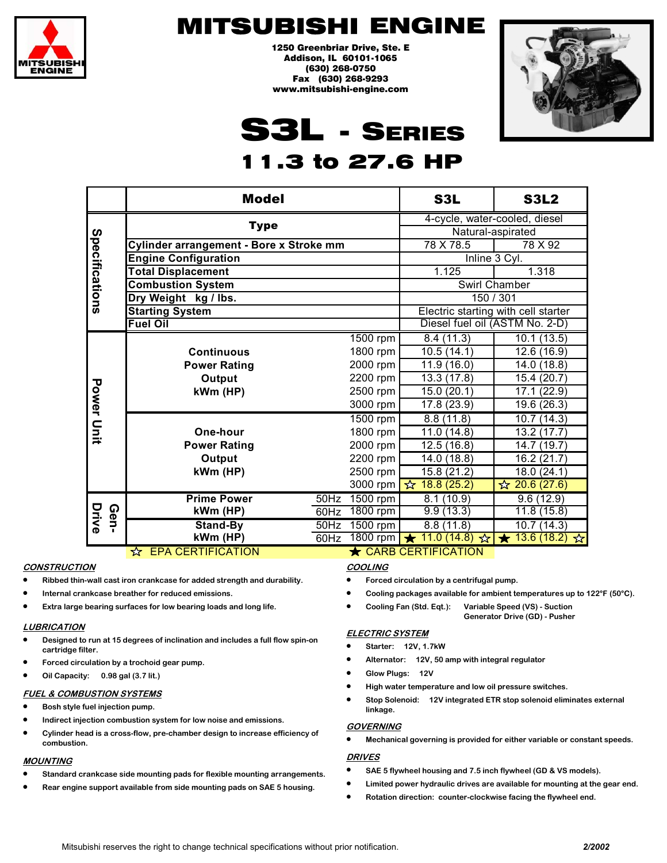

1250 Greenbriar Drive, Ste. E Addison, IL 60101-1065 (630) 268-0750 Fax (630) 268-9293 www.mitsubishi-engine.com



# S3L - SERIES

# 1.3 to 27.6 HP

|                   | <b>Model</b>                                       |                                     | S3L                           | <b>S3L2</b>                   |  |
|-------------------|----------------------------------------------------|-------------------------------------|-------------------------------|-------------------------------|--|
|                   | <b>Type</b>                                        |                                     | 4-cycle, water-cooled, diesel |                               |  |
|                   |                                                    | Natural-aspirated                   |                               |                               |  |
|                   | Cylinder arrangement - Bore x Stroke mm            | 78 X 78.5                           | 78 X 92                       |                               |  |
|                   | <b>Engine Configuration</b>                        | Inline 3 Cyl.                       |                               |                               |  |
|                   | <b>Total Displacement</b>                          |                                     | 1.125                         | 1.318                         |  |
|                   | <b>Combustion System</b>                           | Swirl Chamber                       |                               |                               |  |
| Specifications    | Dry Weight kg / lbs.                               | 150 / 301                           |                               |                               |  |
|                   | <b>Starting System</b>                             | Electric starting with cell starter |                               |                               |  |
|                   | <b>Fuel Oil</b>                                    | Diesel fuel oil (ASTM No. 2-D)      |                               |                               |  |
|                   |                                                    | 1500 rpm                            | 8.4(11.3)                     | 10.1(13.5)                    |  |
|                   | <b>Continuous</b>                                  | 1800 rpm                            | 10.5(14.1)                    | 12.6 (16.9)                   |  |
|                   | <b>Power Rating</b>                                | 2000 rpm                            | 11.9(16.0)                    | 14.0 (18.8)                   |  |
|                   | Output                                             | 2200 rpm                            | 13.3(17.8)                    | 15.4 (20.7)                   |  |
| <b>Power Unit</b> | kWm (HP)                                           | 2500 rpm                            | 15.0(20.1)                    | 17.1 (22.9)                   |  |
|                   |                                                    | 3000 rpm                            | 17.8 (23.9)                   | 19.6 (26.3)                   |  |
|                   |                                                    | 1500 rpm                            | 8.8(11.8)                     | 10.7(14.3)                    |  |
|                   | One-hour                                           | 1800 rpm                            | 11.0(14.8)                    | 13.2 (17.7)                   |  |
|                   | <b>Power Rating</b>                                | 2000 rpm                            | $\overline{12.5}$ (16.8)      | 14.7 (19.7)                   |  |
|                   | Output                                             | 2200 rpm                            | 14.0 (18.8)                   | 16.2 (21.7)                   |  |
|                   | kWm (HP)                                           | 2500 rpm                            | 15.8 (21.2)                   | 18.0(24.1)                    |  |
|                   |                                                    | 3000 rpm                            | $\overline{X}$ 18.8 (25.2)    | $\frac{1}{2}$ 20.6 (27.6)     |  |
| Drive<br>Gen-     | <b>Prime Power</b><br>$\overline{50}$ Hz           | 1500 rpm                            | 8.1(10.9)                     | 9.6(12.9)                     |  |
|                   | kWm (HP)<br>60Hz                                   | 1800 rpm                            | 9.9(13.3)                     | 11.8(15.8)                    |  |
|                   | Stand-By<br>50Hz                                   | $1500$ rpm                          | 8.8(11.8)                     | 10.7(14.3)                    |  |
|                   | kWm (HP)<br>60Hz                                   | 1800 rpm                            | 11.0(14.8)<br>☆               | 13.6(18.2)<br>$\bigstar$<br>☆ |  |
|                   | ☆ EPA CERTIFICATION<br><b>★ CARB CERTIFICATION</b> |                                     |                               |                               |  |

### **CONSTRUCTION**

- **Ribbed thin-wall cast iron crankcase for added strength and durability.**
- **Internal crankcase breather for reduced emissions.**
- **Extra large bearing surfaces for low bearing loads and long life.**

#### **LUBRICATION**

- **Designed to run at 15 degrees of inclination and includes a full flow spin-on cartridge filter.**
- **Forced circulation by a trochoid gear pump.**
- **Oil Capacity: 0.98 gal (3.7 lit.)**

### **FUEL & COMBUSTION SYSTEMS**

- **Bosh style fuel injection pump.**
- **Indirect injection combustion system for low noise and emissions.**
- **Cylinder head is a cross-flow, pre-chamber design to increase efficiency of combustion.**

#### **MOUNTING**

- **Standard crankcase side mounting pads for flexible mounting arrangements.**
- **Rear engine support available from side mounting pads on SAE 5 housing.**

### **COOLING**

- **Forced circulation by a centrifugal pump.**
- **Cooling packages available for ambient temperatures up to 122°F (50°C).**
- **Cooling Fan (Std. Eqt.): Variable Speed (VS) Suction** 
	- **Generator Drive (GD) Pusher**

### **ELECTRIC SYSTEM**

- **Starter: 12V, 1.7kW**
- **Alternator: 12V, 50 amp with integral regulator**
- **Glow Plugs: 12V**
- **High water temperature and low oil pressure switches.**
- **Stop Solenoid: 12V integrated ETR stop solenoid eliminates external linkage.**

#### **GOVERNING**

• **Mechanical governing is provided for either variable or constant speeds.** 

- **SAE 5 flywheel housing and 7.5 inch flywheel (GD & VS models).**
- **Limited power hydraulic drives are available for mounting at the gear end.**
- **Rotation direction: counter-clockwise facing the flywheel end.**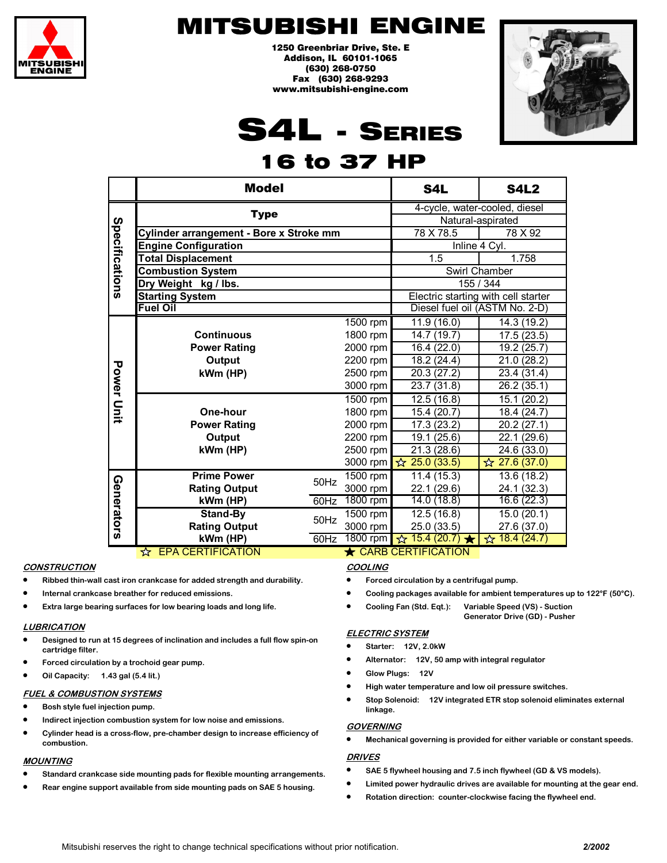

1250 Greenbriar Drive, Ste. E Addison, IL 60101-1065 (630) 268-0750 Fax (630) 268-9293 www.mitsubishi-engine.com



# S4L - SERIES

# 16 to 37 HP

|                   | <b>Model</b>                                       | S4L                                 | <b>S4L2</b> |                               |                             |
|-------------------|----------------------------------------------------|-------------------------------------|-------------|-------------------------------|-----------------------------|
|                   | <b>Type</b>                                        |                                     |             | 4-cycle, water-cooled, diesel |                             |
| Specifications    |                                                    | Natural-aspirated                   |             |                               |                             |
|                   | Cylinder arrangement - Bore x Stroke mm            | 78 X 78.5                           | 78 X 92     |                               |                             |
|                   | <b>Engine Configuration</b>                        | Inline 4 Cyl.                       |             |                               |                             |
|                   | <b>Total Displacement</b>                          | 1.5                                 | 1.758       |                               |                             |
|                   | <b>Combustion System</b>                           | Swirl Chamber                       |             |                               |                             |
|                   | Dry Weight kg / lbs.                               |                                     |             | 155 / 344                     |                             |
|                   | <b>Starting System</b>                             | Electric starting with cell starter |             |                               |                             |
|                   | <b>Fuel Oil</b>                                    | Diesel fuel oil (ASTM No. 2-D)      |             |                               |                             |
|                   |                                                    |                                     | 1500 rpm    | 11.9(16.0)                    | 14.3 (19.2)                 |
|                   | <b>Continuous</b>                                  |                                     | 1800 rpm    | 14.7 (19.7)                   | 17.5(23.5)                  |
|                   | <b>Power Rating</b>                                |                                     | 2000 rpm    | 16.4 (22.0)                   | 19.2 (25.7)                 |
|                   | Output                                             |                                     | 2200 rpm    | 18.2 (24.4)                   | 21.0 (28.2)                 |
|                   | kWm (HP)                                           |                                     | 2500 rpm    | 20.3 (27.2)                   | 23.4 (31.4)                 |
|                   |                                                    |                                     | 3000 rpm    | 23.7(31.8)                    | 26.2(35.1)                  |
| <b>Power Unit</b> |                                                    |                                     | 1500 rpm    | 12.5(16.8)                    | 15.1(20.2)                  |
|                   | One-hour                                           |                                     | 1800 rpm    | 15.4 (20.7)                   | 18.4 (24.7)                 |
|                   | <b>Power Rating</b>                                | 2000 rpm                            | 17.3 (23.2) | 20.2(27.1)                    |                             |
|                   | Output                                             | 19.1 (25.6)                         | 22.1 (29.6) |                               |                             |
|                   | kWm (HP)                                           | 2500 rpm                            | 21.3(28.6)  | 24.6(33.0)                    |                             |
|                   |                                                    |                                     | 3000 rpm    | $\hat{ }$ 25.0 (33.5)         | $\frac{1}{22}$ 27.6 (37.0)  |
|                   | <b>Prime Power</b>                                 | 50Hz                                | 1500 rpm    | 11.4(15.3)                    | 13.6(18.2)                  |
| Generators        | <b>Rating Output</b>                               |                                     | 3000 rpm    | 22.1 (29.6)                   | 24.1 (32.3)                 |
|                   | kWm (HP)                                           | 60Hz                                | 1800 rpm    | 14.0(18.8)                    | 16.6(22.3)                  |
|                   | Stand-By                                           | 50Hz                                | 1500 rpm    | $\overline{12.5(16.8)}$       | 15.0 (20.1)                 |
|                   | <b>Rating Output</b>                               |                                     | 3000 rpm    | 25.0 (33.5)                   | 27.6 (37.0)                 |
|                   | kWm (HP)                                           | 60Hz                                | 1800 rpm    | $\frac{1}{2}$ 15.4 (20.7)     | $\frac{1}{2}$<br>18.4(24.7) |
|                   | ☆ EPA CERTIFICATION<br><b>★ CARB CERTIFICATION</b> |                                     |             |                               |                             |

#### **CONSTRUCTION**

- **Ribbed thin-wall cast iron crankcase for added strength and durability.**
- **Internal crankcase breather for reduced emissions.**
- **Extra large bearing surfaces for low bearing loads and long life.**

#### • **Extra large bearing surfaces for low bearing loads and long life. LUBRICATION**

- <u>∟UDRICATION</u><br>● Designed to run at 15 degrees of inclination and includes a full flow spin-on **ROTATION cartridge filter.**
- **•** Forced circulation by a trochoid gear pump.
- **LUBRICATION** • **Oil Capacity: 1.43 gal (5.4 lit.)**

#### • **Designed to run at 30 degrees of inclination and includes a full flow spin-on FUEL & COMBUSTION SYSTEMS**

- **•** Bosh style fuel injection pump.
- **•** Indirect injection combustion system for low noise and emissions.
- **•** Cylinder head is a cross-flow, pre-chamber design to increase efficiency of *<u>combustion.</u>*

#### **FUEL & COMBUSTION SYSTEMS MOUNTING**

- **•** Standard crankcase side mounting pads for flexible mounting arrangements.
- **•** Rear engine support available from side mounting pads on SAE 5 housing.

### **COOLING**

- **•** Forced circulation by a centrifugal pump.
- **Cooling packages available for ambient temperatures up to 122°F (50°C).**
- **•** Cooling Fan (Std. Eqt.): Variable Speed (VS) Suction **Generator Drive (GD) - Pusher**

#### **chamber glow plugs to ensure quick starting. ELECTRIC SYSTEM**

- **GOVERNING Starter: 12V, 2.0kW**
- **•** Alternator: 12V, 50 amp with integral regulator
- **depending on application. Glow Plugs: 12V**
- **•** High water temperature and low oil pressure switches.
- **9** Stop Solenoid: 12V integrated ETR stop solenoid eliminates external • **Full power is available at the flywheel end for axial or radial drives. linkage.**

#### • **Limited power hydraulic drives are available for mounting at the gear end. GOVERNING**

• **Mechanical governing is provided for either variable or constant speeds.** 

#### • **Standard crankcase side mounting pads for flexible mounting arrangements. DRIVES**

- **SAE 5 flywheel housing and 7.5 inch flywheel (GD & VS models).**
- **Limited power hydraulic drives are available for mounting at the gear end.**
- **Rotation direction: counter-clockwise facing the flywheel end.**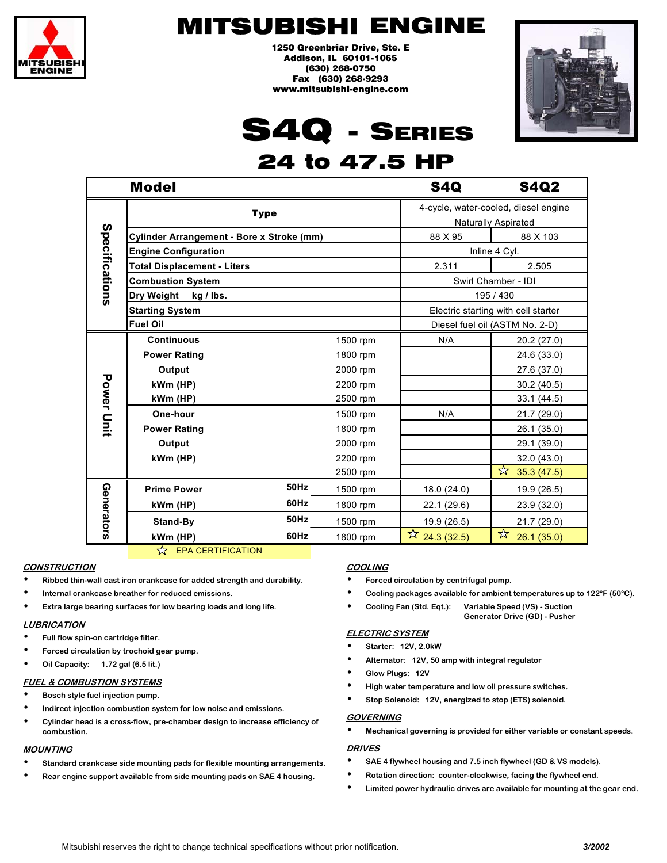

1250 Greenbriar Drive, Ste. E Addison, IL 60101-1065 (630) 268-0750 Fax (630) 268-9293 www.mitsubishi-engine.com



# S4Q - SERIES

## 24 to 47.5 HP

|                   | <b>Model</b>                              |      |          | <b>S4Q</b>                           | <b>S4Q2</b>     |
|-------------------|-------------------------------------------|------|----------|--------------------------------------|-----------------|
|                   | <b>Type</b>                               |      |          | 4-cycle, water-cooled, diesel engine |                 |
| Specifications    |                                           |      |          | <b>Naturally Aspirated</b>           |                 |
|                   | Cylinder Arrangement - Bore x Stroke (mm) |      |          | 88 X 95                              | 88 X 103        |
|                   | <b>Engine Configuration</b>               |      |          | Inline 4 Cyl.                        |                 |
|                   | <b>Total Displacement - Liters</b>        |      |          | 2.311                                | 2.505           |
|                   | <b>Combustion System</b>                  |      |          | Swirl Chamber - IDI                  |                 |
|                   | Dry Weight kg / lbs.                      |      |          | 195 / 430                            |                 |
|                   | <b>Starting System</b>                    |      |          | Electric starting with cell starter  |                 |
|                   | <b>Fuel Oil</b>                           |      |          | Diesel fuel oil (ASTM No. 2-D)       |                 |
|                   | <b>Continuous</b>                         |      | 1500 rpm | N/A                                  | 20.2 (27.0)     |
|                   | <b>Power Rating</b>                       |      | 1800 rpm |                                      | 24.6 (33.0)     |
|                   | Output                                    |      | 2000 rpm |                                      | 27.6 (37.0)     |
|                   | kWm (HP)                                  |      | 2200 rpm |                                      | 30.2(40.5)      |
|                   | kWm (HP)                                  |      | 2500 rpm |                                      | 33.1(44.5)      |
| <b>Power Unit</b> | One-hour                                  |      | 1500 rpm | N/A                                  | 21.7 (29.0)     |
|                   | <b>Power Rating</b>                       |      | 1800 rpm |                                      | 26.1 (35.0)     |
|                   | Output                                    |      | 2000 rpm |                                      | 29.1 (39.0)     |
|                   | kWm (HP)                                  |      | 2200 rpm |                                      | 32.0(43.0)      |
|                   |                                           |      | 2500 rpm |                                      | ☆<br>35.3(47.5) |
| Generators        | <b>Prime Power</b>                        | 50Hz | 1500 rpm | 18.0 (24.0)                          | 19.9 (26.5)     |
|                   | kWm (HP)                                  | 60Hz | 1800 rpm | 22.1 (29.6)                          | 23.9 (32.0)     |
|                   | Stand-By                                  | 50Hz | 1500 rpm | 19.9 (26.5)                          | 21.7 (29.0)     |
|                   | kWm (HP)                                  | 60Hz | 1800 rpm | $\frac{1}{2}$ 24.3 (32.5)            | ☆<br>26.1(35.0) |

 $\overleftrightarrow{\mathbf{x}}$  EPA CERTIFICATION

### **CONSTRUCTION**

- **Ribbed thin-wall cast iron crankcase for added strength and durability.**
- **Internal crankcase breather for reduced emissions.**
- **Extra large bearing surfaces for low bearing loads and long life.**

#### **LUBRICATION**

- **Full flow spin-on cartridge filter.**
- **Forced circulation by trochoid gear pump.**
- **Oil Capacity: 1.72 gal (6.5 lit.)**

#### **FUEL & COMBUSTION SYSTEMS**

- **Bosch style fuel injection pump.**
- **Indirect injection combustion system for low noise and emissions.**
- **Cylinder head is a cross-flow, pre-chamber design to increase efficiency of combustion.**

#### **MOUNTING**

- **Standard crankcase side mounting pads for flexible mounting arrangements.**
- **Rear engine support available from side mounting pads on SAE 4 housing.**

#### **COOLING**

- **Forced circulation by centrifugal pump.**
- **Cooling packages available for ambient temperatures up to 122°F (50°C).**
- **Cooling Fan (Std. Eqt.): Variable Speed (VS) Suction** 
	- **Generator Drive (GD) Pusher**

### **ELECTRIC SYSTEM**

- **Starter: 12V, 2.0kW**
- **Alternator: 12V, 50 amp with integral regulator**
- **Glow Plugs: 12V**
- **High water temperature and low oil pressure switches.** 
	- **Stop Solenoid: 12V, energized to stop (ETS) solenoid.**

#### **GOVERNING**

• **Mechanical governing is provided for either variable or constant speeds.** 

- **SAE 4 flywheel housing and 7.5 inch flywheel (GD & VS models).**
- **Rotation direction: counter-clockwise, facing the flywheel end.**
- **Limited power hydraulic drives are available for mounting at the gear end.**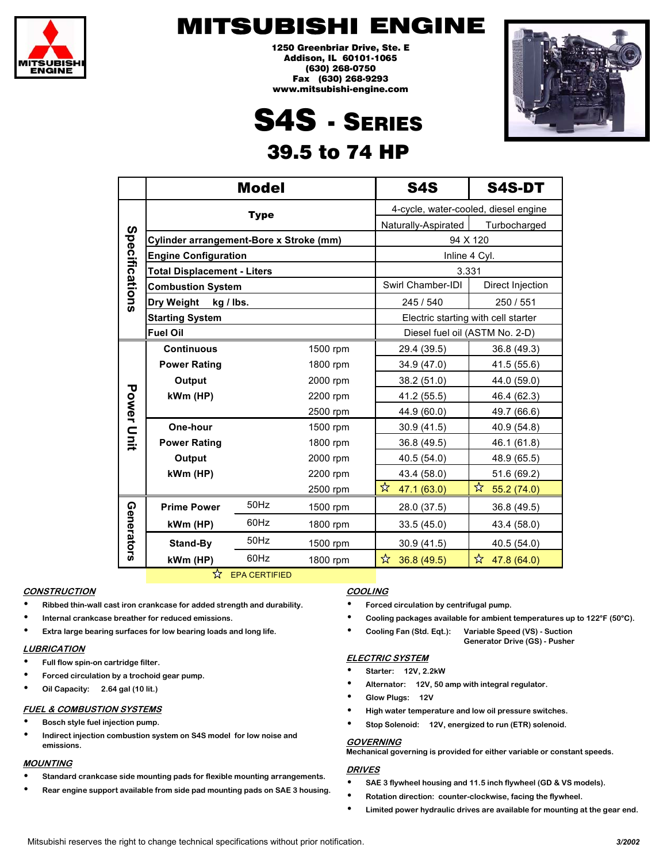

1250 Greenbriar Drive, Ste. E Addison, IL 60101-1065 (630) 268-0750 Fax (630) 268-9293 www.mitsubishi-engine.com

# S4S - SERIES 39.5 to 74 HP



|                   |                                         | <b>Model</b> |                                | <b>S4S</b>                           | S4S-DT           |  |  |
|-------------------|-----------------------------------------|--------------|--------------------------------|--------------------------------------|------------------|--|--|
|                   | <b>Type</b>                             |              |                                | 4-cycle, water-cooled, diesel engine |                  |  |  |
| Specifications    |                                         |              |                                | Naturally-Aspirated                  | Turbocharged     |  |  |
|                   | Cylinder arrangement-Bore x Stroke (mm) |              |                                |                                      | 94 X 120         |  |  |
|                   | <b>Engine Configuration</b>             |              |                                | Inline 4 Cyl.                        |                  |  |  |
|                   | <b>Total Displacement - Liters</b>      |              |                                | 3.331                                |                  |  |  |
|                   | <b>Combustion System</b>                |              |                                | Swirl Chamber-IDI                    | Direct Injection |  |  |
|                   | Dry Weight<br>kg / lbs.                 |              |                                | 245 / 540                            | 250 / 551        |  |  |
|                   | <b>Starting System</b>                  |              |                                | Electric starting with cell starter  |                  |  |  |
|                   | <b>Fuel Oil</b>                         |              | Diesel fuel oil (ASTM No. 2-D) |                                      |                  |  |  |
|                   | <b>Continuous</b>                       |              | 1500 rpm                       | 29.4 (39.5)                          | 36.8 (49.3)      |  |  |
|                   | <b>Power Rating</b>                     |              | 1800 rpm                       | 34.9 (47.0)                          | 41.5 (55.6)      |  |  |
|                   | Output                                  |              | 2000 rpm                       | 38.2 (51.0)                          | 44.0 (59.0)      |  |  |
|                   | kWm (HP)                                |              | 2200 rpm                       | 41.2 (55.5)                          | 46.4 (62.3)      |  |  |
|                   |                                         |              | 2500 rpm                       | 44.9 (60.0)                          | 49.7 (66.6)      |  |  |
| <b>Power Unit</b> | One-hour                                |              | 1500 rpm                       | 30.9 (41.5)                          | 40.9 (54.8)      |  |  |
|                   | <b>Power Rating</b>                     |              | 1800 rpm                       | 36.8 (49.5)                          | 46.1 (61.8)      |  |  |
|                   | Output                                  |              | 2000 rpm                       | 40.5 (54.0)                          | 48.9 (65.5)      |  |  |
|                   | kWm (HP)                                |              | 2200 rpm                       | 43.4 (58.0)                          | 51.6 (69.2)      |  |  |
|                   |                                         |              | 2500 rpm                       | ☆<br>47.1 (63.0)                     | ☆<br>55.2 (74.0) |  |  |
| Generators        | <b>Prime Power</b>                      | 50Hz         | 1500 rpm                       | 28.0 (37.5)                          | 36.8 (49.5)      |  |  |
|                   | kWm (HP)                                | 60Hz         | 1800 rpm                       | 33.5(45.0)                           | 43.4 (58.0)      |  |  |
|                   | Stand-By                                | 50Hz         | 1500 rpm                       | 30.9 (41.5)                          | 40.5 (54.0)      |  |  |
|                   | kWm (HP)                                | 60Hz         | 1800 rpm                       | ☆<br>36.8 (49.5)                     | ☆<br>47.8 (64.0) |  |  |

 $\hat{X}$  EPA CERTIFIED

#### **CONSTRUCTION**

- **Ribbed thin-wall cast iron crankcase for added strength and durability.**
- **Internal crankcase breather for reduced emissions.**
- **Extra large bearing surfaces for low bearing loads and long life.**

#### **LUBRICATION**

- **Full flow spin-on cartridge filter.**
- **Forced circulation by a trochoid gear pump.**
- **Oil Capacity: 2.64 gal (10 lit.)**

#### **FUEL & COMBUSTION SYSTEMS**

- **Bosch style fuel injection pump.**
- **Indirect injection combustion system on S4S model for low noise and emissions.**

#### **MOUNTING**

- **Standard crankcase side mounting pads for flexible mounting arrangements.**
- **Rear engine support available from side pad mounting pads on SAE 3 housing.**

#### **COOLING**

- **Forced circulation by centrifugal pump.**
- **Cooling packages available for ambient temperatures up to 122°F (50°C).** 
	- **Cooling Fan (Std. Eqt.): Variable Speed (VS) Suction Generator Drive (GS) - Pusher**

#### **ELECTRIC SYSTEM**

- **Starter: 12V, 2.2kW**
- **Alternator: 12V, 50 amp with integral regulator.**
- **Glow Plugs: 12V**
- **High water temperature and low oil pressure switches.**
- **Stop Solenoid: 12V, energized to run (ETR) solenoid.**

#### **GOVERNING**

**Mechanical governing is provided for either variable or constant speeds.** 

- **SAE 3 flywheel housing and 11.5 inch flywheel (GD & VS models).**
- **Rotation direction: counter-clockwise, facing the flywheel.**
- **Limited power hydraulic drives are available for mounting at the gear end.**